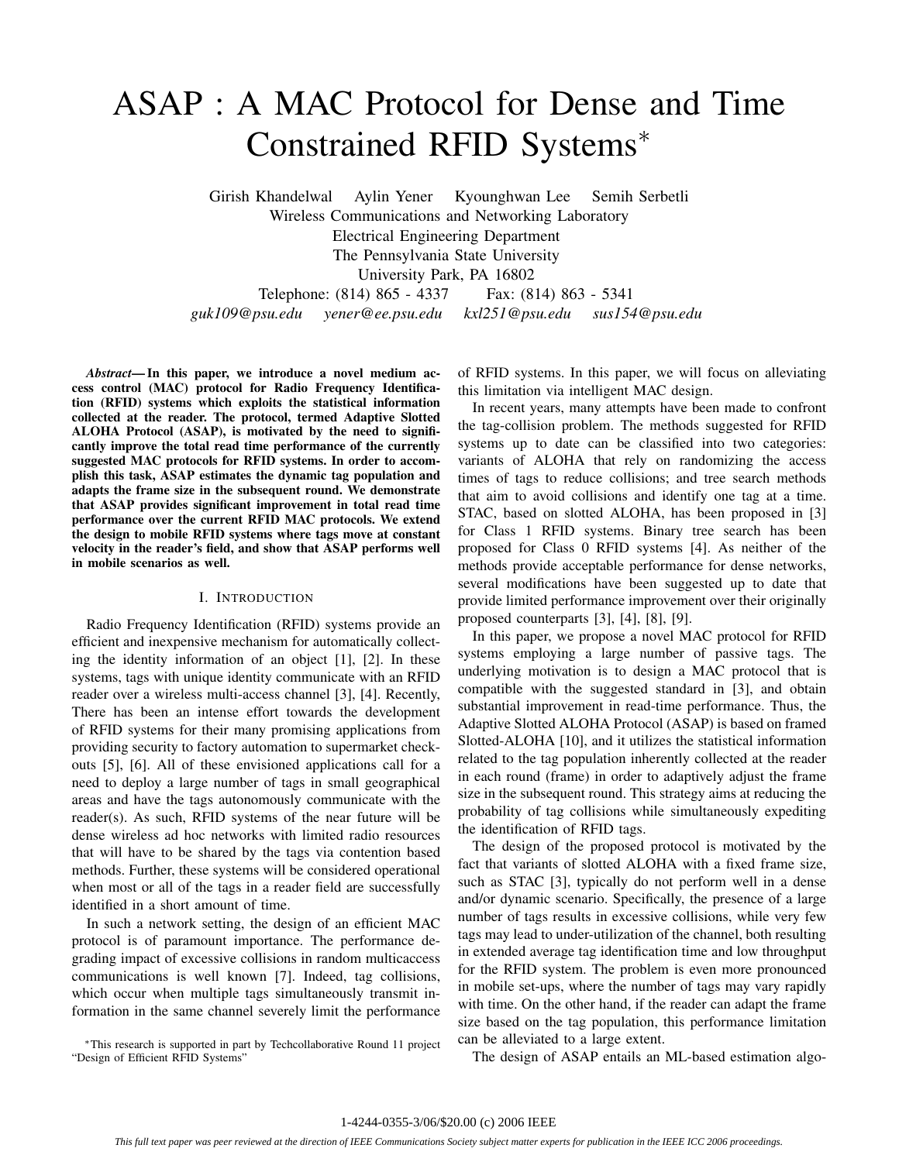# ASAP : A MAC Protocol for Dense and Time Constrained RFID Systems∗

Girish Khandelwal Aylin Yener Kyounghwan Lee Semih Serbetli Wireless Communications and Networking Laboratory Electrical Engineering Department The Pennsylvania State University University Park, PA 16802 Telephone: (814) 865 - 4337 Fax: (814) 863 - 5341 *guk109@psu.edu yener@ee.psu.edu kxl251@psu.edu sus154@psu.edu*

*Abstract***— In this paper, we introduce a novel medium access control (MAC) protocol for Radio Frequency Identification (RFID) systems which exploits the statistical information collected at the reader. The protocol, termed Adaptive Slotted ALOHA Protocol (ASAP), is motivated by the need to significantly improve the total read time performance of the currently suggested MAC protocols for RFID systems. In order to accomplish this task, ASAP estimates the dynamic tag population and adapts the frame size in the subsequent round. We demonstrate that ASAP provides significant improvement in total read time performance over the current RFID MAC protocols. We extend the design to mobile RFID systems where tags move at constant velocity in the reader's field, and show that ASAP performs well in mobile scenarios as well.**

### I. INTRODUCTION

Radio Frequency Identification (RFID) systems provide an efficient and inexpensive mechanism for automatically collecting the identity information of an object [1], [2]. In these systems, tags with unique identity communicate with an RFID reader over a wireless multi-access channel [3], [4]. Recently, There has been an intense effort towards the development of RFID systems for their many promising applications from providing security to factory automation to supermarket checkouts [5], [6]. All of these envisioned applications call for a need to deploy a large number of tags in small geographical areas and have the tags autonomously communicate with the reader(s). As such, RFID systems of the near future will be dense wireless ad hoc networks with limited radio resources that will have to be shared by the tags via contention based methods. Further, these systems will be considered operational when most or all of the tags in a reader field are successfully identified in a short amount of time.

In such a network setting, the design of an efficient MAC protocol is of paramount importance. The performance degrading impact of excessive collisions in random multicaccess communications is well known [7]. Indeed, tag collisions, which occur when multiple tags simultaneously transmit information in the same channel severely limit the performance

∗This research is supported in part by Techcollaborative Round 11 project "Design of Efficient RFID Systems"

of RFID systems. In this paper, we will focus on alleviating this limitation via intelligent MAC design.

In recent years, many attempts have been made to confront the tag-collision problem. The methods suggested for RFID systems up to date can be classified into two categories: variants of ALOHA that rely on randomizing the access times of tags to reduce collisions; and tree search methods that aim to avoid collisions and identify one tag at a time. STAC, based on slotted ALOHA, has been proposed in [3] for Class 1 RFID systems. Binary tree search has been proposed for Class 0 RFID systems [4]. As neither of the methods provide acceptable performance for dense networks, several modifications have been suggested up to date that provide limited performance improvement over their originally proposed counterparts [3], [4], [8], [9].

In this paper, we propose a novel MAC protocol for RFID systems employing a large number of passive tags. The underlying motivation is to design a MAC protocol that is compatible with the suggested standard in [3], and obtain substantial improvement in read-time performance. Thus, the Adaptive Slotted ALOHA Protocol (ASAP) is based on framed Slotted-ALOHA [10], and it utilizes the statistical information related to the tag population inherently collected at the reader in each round (frame) in order to adaptively adjust the frame size in the subsequent round. This strategy aims at reducing the probability of tag collisions while simultaneously expediting the identification of RFID tags.

The design of the proposed protocol is motivated by the fact that variants of slotted ALOHA with a fixed frame size, such as STAC [3], typically do not perform well in a dense and/or dynamic scenario. Specifically, the presence of a large number of tags results in excessive collisions, while very few tags may lead to under-utilization of the channel, both resulting in extended average tag identification time and low throughput for the RFID system. The problem is even more pronounced in mobile set-ups, where the number of tags may vary rapidly with time. On the other hand, if the reader can adapt the frame size based on the tag population, this performance limitation can be alleviated to a large extent.

The design of ASAP entails an ML-based estimation algo-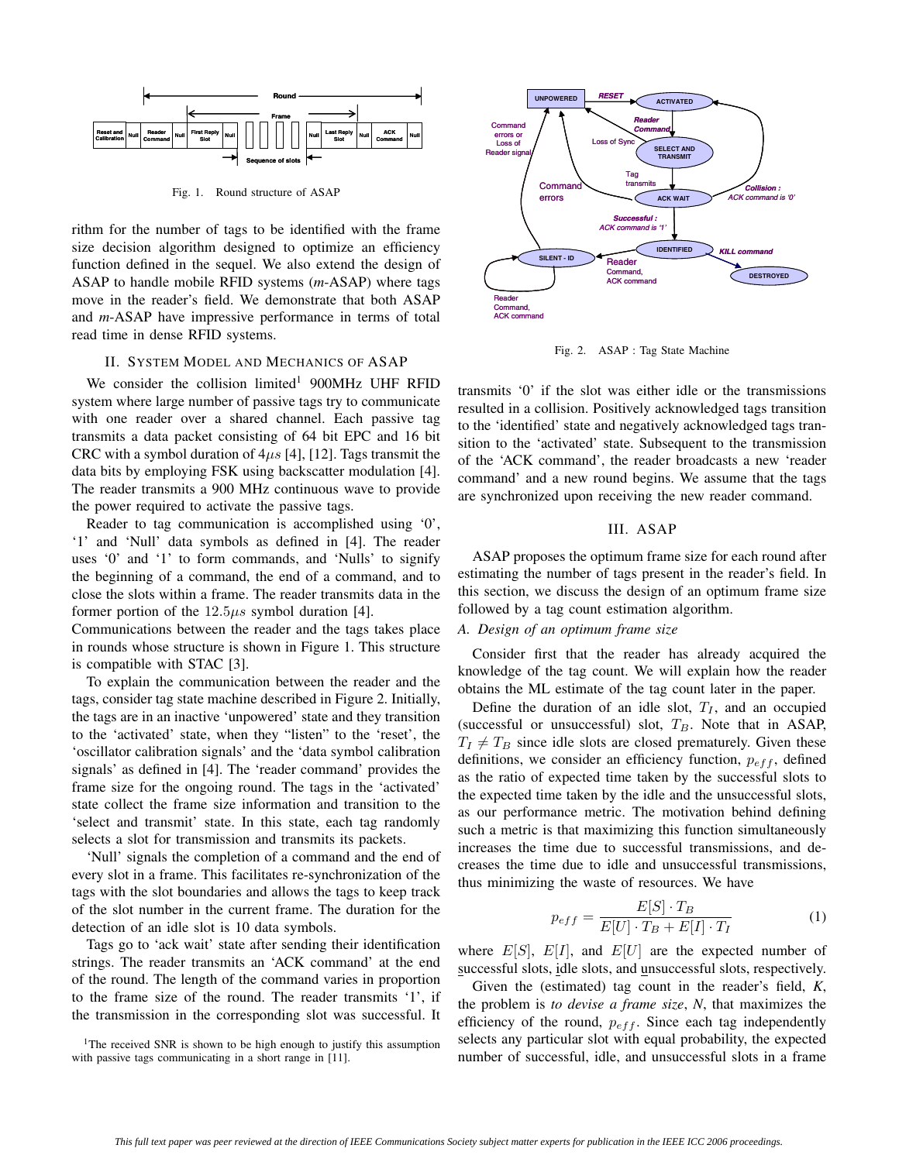

Fig. 1. Round structure of ASAP

rithm for the number of tags to be identified with the frame size decision algorithm designed to optimize an efficiency function defined in the sequel. We also extend the design of ASAP to handle mobile RFID systems (*m*-ASAP) where tags move in the reader's field. We demonstrate that both ASAP and *m*-ASAP have impressive performance in terms of total read time in dense RFID systems.

## II. SYSTEM MODEL AND MECHANICS OF ASAP

We consider the collision limited<sup>1</sup> 900MHz UHF RFID system where large number of passive tags try to communicate with one reader over a shared channel. Each passive tag transmits a data packet consisting of 64 bit EPC and 16 bit CRC with a symbol duration of  $4\mu s$  [4], [12]. Tags transmit the data bits by employing FSK using backscatter modulation [4]. The reader transmits a 900 MHz continuous wave to provide the power required to activate the passive tags.

Reader to tag communication is accomplished using '0', '1' and 'Null' data symbols as defined in [4]. The reader uses '0' and '1' to form commands, and 'Nulls' to signify the beginning of a command, the end of a command, and to close the slots within a frame. The reader transmits data in the former portion of the  $12.5\mu s$  symbol duration [4].

Communications between the reader and the tags takes place in rounds whose structure is shown in Figure 1. This structure is compatible with STAC [3].

To explain the communication between the reader and the tags, consider tag state machine described in Figure 2. Initially, the tags are in an inactive 'unpowered' state and they transition to the 'activated' state, when they "listen" to the 'reset', the 'oscillator calibration signals' and the 'data symbol calibration signals' as defined in [4]. The 'reader command' provides the frame size for the ongoing round. The tags in the 'activated' state collect the frame size information and transition to the 'select and transmit' state. In this state, each tag randomly selects a slot for transmission and transmits its packets.

'Null' signals the completion of a command and the end of every slot in a frame. This facilitates re-synchronization of the tags with the slot boundaries and allows the tags to keep track of the slot number in the current frame. The duration for the detection of an idle slot is 10 data symbols.

Tags go to 'ack wait' state after sending their identification strings. The reader transmits an 'ACK command' at the end of the round. The length of the command varies in proportion to the frame size of the round. The reader transmits '1', if the transmission in the corresponding slot was successful. It

<sup>1</sup>The received SNR is shown to be high enough to justify this assumption with passive tags communicating in a short range in [11].



Fig. 2. ASAP : Tag State Machine

transmits '0' if the slot was either idle or the transmissions resulted in a collision. Positively acknowledged tags transition to the 'identified' state and negatively acknowledged tags transition to the 'activated' state. Subsequent to the transmission of the 'ACK command', the reader broadcasts a new 'reader command' and a new round begins. We assume that the tags are synchronized upon receiving the new reader command.

#### III. ASAP

ASAP proposes the optimum frame size for each round after estimating the number of tags present in the reader's field. In this section, we discuss the design of an optimum frame size followed by a tag count estimation algorithm.

## *A. Design of an optimum frame size*

Consider first that the reader has already acquired the knowledge of the tag count. We will explain how the reader obtains the ML estimate of the tag count later in the paper.

Define the duration of an idle slot,  $T_I$ , and an occupied (successful or unsuccessful) slot,  $T_B$ . Note that in ASAP,  $T_I \neq T_B$  since idle slots are closed prematurely. Given these<br>definitions, we consider an efficiency function, n  $\epsilon_{\ell}$  defined definitions, we consider an efficiency function,  $p_{eff}$ , defined as the ratio of expected time taken by the successful slots to the expected time taken by the idle and the unsuccessful slots, as our performance metric. The motivation behind defining such a metric is that maximizing this function simultaneously increases the time due to successful transmissions, and decreases the time due to idle and unsuccessful transmissions, thus minimizing the waste of resources. We have

$$
p_{eff} = \frac{E[S] \cdot T_B}{E[U] \cdot T_B + E[I] \cdot T_I}
$$
 (1)

where  $E[S], E[I]$ , and  $E[U]$  are the expected number of successful slots idle slots and unsuccessful slots respectively successful slots, idle slots, and unsuccessful slots, respectively.

Given the (estimated) tag count in the reader's field, *K*, the problem is *to devise a frame size*, *N*, that maximizes the efficiency of the round,  $p_{eff}$ . Since each tag independently selects any particular slot with equal probability, the expected number of successful, idle, and unsuccessful slots in a frame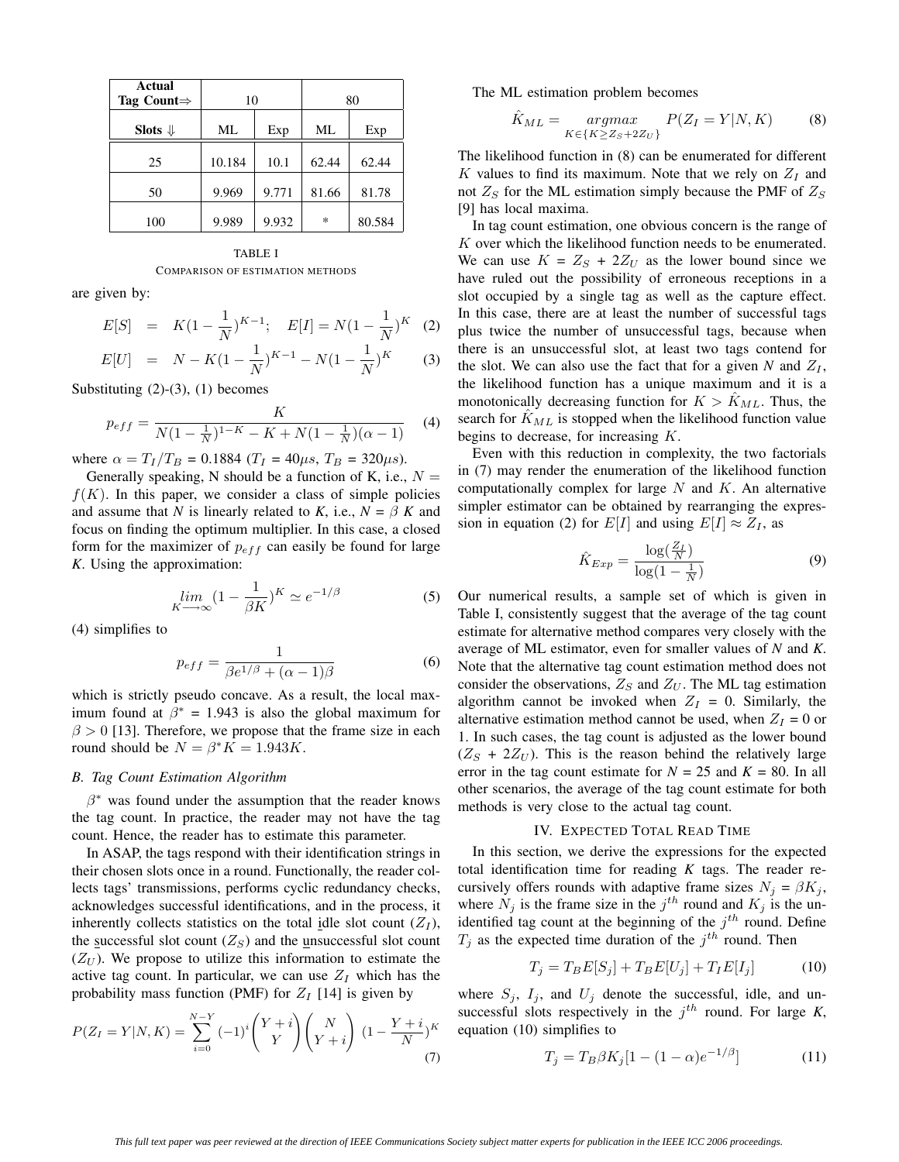| Actual<br>Tag Count $\Rightarrow$ | 10     |       | 80     |        |  |
|-----------------------------------|--------|-------|--------|--------|--|
| Slots $\Downarrow$                | МL     | Exp   | МL     | Exp    |  |
| 25                                | 10.184 | 10.1  | 62.44  | 62.44  |  |
| 50                                | 9.969  | 9.771 | 81.66  | 81.78  |  |
| 100                               | 9.989  | 9.932 | $\ast$ | 80.584 |  |

TABLE I COMPARISON OF ESTIMATION METHODS

are given by:

$$
E[S] = K(1 - \frac{1}{N})^{K-1}; \quad E[I] = N(1 - \frac{1}{N})^{K} \quad (2)
$$

$$
E[U] = N - K(1 - \frac{1}{N})^{K-1} - N(1 - \frac{1}{N})^K \tag{3}
$$

Substituting (2)-(3), (1) becomes

$$
p_{eff} = \frac{K}{N(1 - \frac{1}{N})^{1 - K} - K + N(1 - \frac{1}{N})(\alpha - 1)}
$$
(4)

where  $\alpha = T_I/T_B = 0.1884$  ( $T_I = 40 \mu s$ ,  $T_B = 320 \mu s$ ).

Generally speaking, N should be a function of K, i.e.,  $N =$  $f(K)$ . In this paper, we consider a class of simple policies and assume that *N* is linearly related to *K*, i.e.,  $N = \beta K$  and focus on finding the optimum multiplier. In this case, a closed form for the maximizer of  $p_{eff}$  can easily be found for large *K*. Using the approximation:

$$
\lim_{K \to \infty} (1 - \frac{1}{\beta K})^K \simeq e^{-1/\beta} \tag{5}
$$

(4) simplifies to

$$
p_{eff} = \frac{1}{\beta e^{1/\beta} + (\alpha - 1)\beta} \tag{6}
$$

which is strictly pseudo concave. As a result, the local maximum found at  $\beta^* = 1.943$  is also the global maximum for  $\beta > 0$  [13]. Therefore, we propose that the frame size in each round should be  $N = \beta^* K = 1.943K$ .

#### *B. Tag Count Estimation Algorithm*

 $\beta^*$  was found under the assumption that the reader knows the tag count. In practice, the reader may not have the tag count. Hence, the reader has to estimate this parameter.

In ASAP, the tags respond with their identification strings in their chosen slots once in a round. Functionally, the reader collects tags' transmissions, performs cyclic redundancy checks, acknowledges successful identifications, and in the process, it inherently collects statistics on the total idle slot count  $(Z_I)$ , the successful slot count  $(Z<sub>S</sub>)$  and the unsuccessful slot count  $(Z_U)$ . We propose to utilize this information to estimate the active tag count. In particular, we can use  $Z_I$  which has the probability mass function (PMF) for  $Z_I$  [14] is given by

$$
P(Z_I = Y | N, K) = \sum_{i=0}^{N-Y} (-1)^i {Y + i \choose Y} {N \choose Y + i} (1 - \frac{Y + i}{N})^K
$$
(7)

The ML estimation problem becomes

$$
\hat{K}_{ML} = \underset{K \in \{K \ge Z_S + 2Z_U\}}{\operatorname{argmax}} \ P(Z_I = Y | N, K) \tag{8}
$$

The likelihood function in (8) can be enumerated for different K values to find its maximum. Note that we rely on  $Z_I$  and not  $Z_S$  for the ML estimation simply because the PMF of  $Z_S$ [9] has local maxima.

In tag count estimation, one obvious concern is the range of K over which the likelihood function needs to be enumerated. We can use  $K = Z_S + 2Z_U$  as the lower bound since we have ruled out the possibility of erroneous receptions in a slot occupied by a single tag as well as the capture effect. In this case, there are at least the number of successful tags plus twice the number of unsuccessful tags, because when there is an unsuccessful slot, at least two tags contend for the slot. We can also use the fact that for a given N and  $Z_I$ , the likelihood function has a unique maximum and it is a monotonically decreasing function for  $K > K_{ML}$ . Thus, the search for  $K_{ML}$  is stopped when the likelihood function value begins to decrease, for increasing K.

Even with this reduction in complexity, the two factorials in (7) may render the enumeration of the likelihood function computationally complex for large  $N$  and  $K$ . An alternative simpler estimator can be obtained by rearranging the expression in equation (2) for  $E[I]$  and using  $E[I] \approx Z_I$ , as

$$
\hat{K}_{Exp} = \frac{\log(\frac{Z_I}{N})}{\log(1 - \frac{1}{N})}
$$
\n(9)

Our numerical results, a sample set of which is given in Table I, consistently suggest that the average of the tag count estimate for alternative method compares very closely with the average of ML estimator, even for smaller values of *N* and *K*. Note that the alternative tag count estimation method does not consider the observations,  $Z_S$  and  $Z_U$ . The ML tag estimation algorithm cannot be invoked when  $Z_I = 0$ . Similarly, the alternative estimation method cannot be used, when  $Z_I = 0$  or 1. In such cases, the tag count is adjusted as the lower bound  $(Z<sub>S</sub> + 2Z<sub>U</sub>)$ . This is the reason behind the relatively large error in the tag count estimate for  $N = 25$  and  $K = 80$ . In all other scenarios, the average of the tag count estimate for both methods is very close to the actual tag count.

#### IV. EXPECTED TOTAL READ TIME

In this section, we derive the expressions for the expected total identification time for reading *K* tags. The reader recursively offers rounds with adaptive frame sizes  $N_j = \beta K_j$ , where  $N_j$  is the frame size in the  $j^{th}$  round and  $K_j$  is the unidentified tag count at the beginning of the  $j^{th}$  round. Define  $T_i$  as the expected time duration of the  $j<sup>th</sup>$  round. Then

$$
T_j = T_B E[S_j] + T_B E[U_j] + T_I E[I_j]
$$
 (10)

where  $S_j$ ,  $I_j$ , and  $U_j$  denote the successful, idle, and unsuccessful slots respectively in the  $j<sup>th</sup>$  round. For large *K*, equation (10) simplifies to

$$
T_j = T_B \beta K_j [1 - (1 - \alpha)e^{-1/\beta}] \tag{11}
$$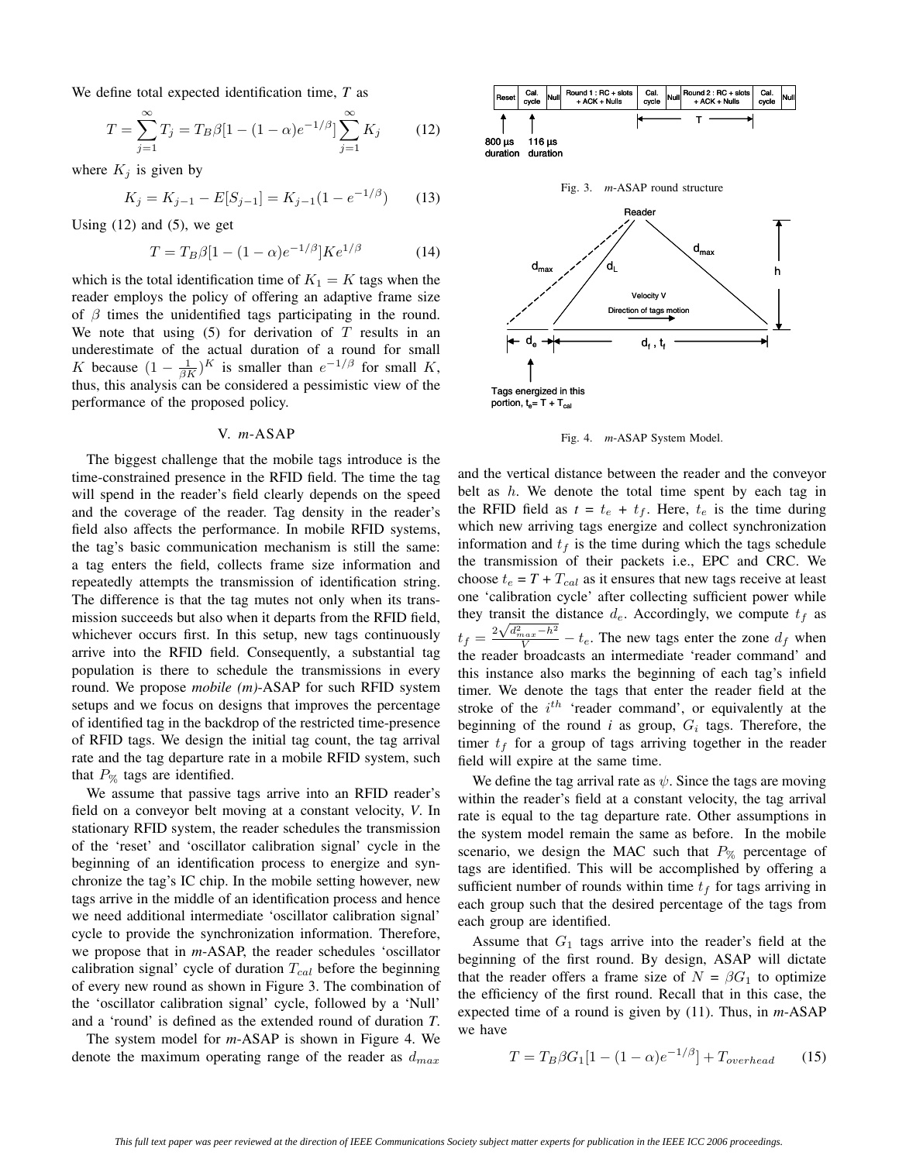We define total expected identification time, *T* as

$$
T = \sum_{j=1}^{\infty} T_j = T_B \beta [1 - (1 - \alpha)e^{-1/\beta}] \sum_{j=1}^{\infty} K_j
$$
 (12)

where  $K_i$  is given by

$$
K_j = K_{j-1} - E[S_{j-1}] = K_{j-1}(1 - e^{-1/\beta}) \tag{13}
$$

Using  $(12)$  and  $(5)$ , we get

$$
T = T_B \beta [1 - (1 - \alpha)e^{-1/\beta}] K e^{1/\beta}
$$
 (14)

which is the total identification time of  $K_1 = K$  tags when the reader employs the policy of offering an adaptive frame size of  $\beta$  times the unidentified tags participating in the round. We note that using  $(5)$  for derivation of T results in an underestimate of the actual duration of a round for small K because  $(1 - \frac{1}{\beta K})^K$  is smaller than  $e^{-1/\beta}$  for small K,<br>thus this analysis can be considered a pessimistic view of the thus, this analysis can be considered a pessimistic view of the performance of the proposed policy.

## V. *m*-ASAP

The biggest challenge that the mobile tags introduce is the time-constrained presence in the RFID field. The time the tag will spend in the reader's field clearly depends on the speed and the coverage of the reader. Tag density in the reader's field also affects the performance. In mobile RFID systems, the tag's basic communication mechanism is still the same: a tag enters the field, collects frame size information and repeatedly attempts the transmission of identification string. The difference is that the tag mutes not only when its transmission succeeds but also when it departs from the RFID field, whichever occurs first. In this setup, new tags continuously arrive into the RFID field. Consequently, a substantial tag population is there to schedule the transmissions in every round. We propose *mobile (m)*-ASAP for such RFID system setups and we focus on designs that improves the percentage of identified tag in the backdrop of the restricted time-presence of RFID tags. We design the initial tag count, the tag arrival rate and the tag departure rate in a mobile RFID system, such that  $P_{\%}$  tags are identified.

We assume that passive tags arrive into an RFID reader's field on a conveyor belt moving at a constant velocity, *V*. In stationary RFID system, the reader schedules the transmission of the 'reset' and 'oscillator calibration signal' cycle in the beginning of an identification process to energize and synchronize the tag's IC chip. In the mobile setting however, new tags arrive in the middle of an identification process and hence we need additional intermediate 'oscillator calibration signal' cycle to provide the synchronization information. Therefore, we propose that in *m*-ASAP, the reader schedules 'oscillator calibration signal' cycle of duration  $T_{cal}$  before the beginning of every new round as shown in Figure 3. The combination of the 'oscillator calibration signal' cycle, followed by a 'Null' and a 'round' is defined as the extended round of duration *T*.

The system model for *m*-ASAP is shown in Figure 4. We denote the maximum operating range of the reader as  $d_{max}$ 



Fig. 4. *m*-ASAP System Model.

Tags energized in this portion,  $t_e = T + T_{cal}$ 

and the vertical distance between the reader and the conveyor belt as  $h$ . We denote the total time spent by each tag in the RFID field as  $t = t_e + t_f$ . Here,  $t_e$  is the time during which new arriving tags energize and collect synchronization information and  $t_f$  is the time during which the tags schedule the transmission of their packets i.e., EPC and CRC. We choose  $t_e = T + T_{cal}$  as it ensures that new tags receive at least one 'calibration cycle' after collecting sufficient power while they transit the distance  $d_e$ . Accordingly, we compute  $t_f$  as they diameter the solarities  $u_e$ . The corresponding type of the  $t_f = \frac{2\sqrt{d_{max}^2 - h^2}}{V} - t_e$ . The new tags enter the zone  $d_f$  when the reader broadcasts an intermediate 'reader command' and this instance also marks the beginning of each tag's infield timer. We denote the tags that enter the reader field at the stroke of the  $i^{th}$  'reader command', or equivalently at the beginning of the round  $i$  as group,  $G_i$  tags. Therefore, the timer  $t_f$  for a group of tags arriving together in the reader field will expire at the same time.

We define the tag arrival rate as  $\psi$ . Since the tags are moving within the reader's field at a constant velocity, the tag arrival rate is equal to the tag departure rate. Other assumptions in the system model remain the same as before. In the mobile scenario, we design the MAC such that  $P_{\%}$  percentage of tags are identified. This will be accomplished by offering a sufficient number of rounds within time  $t_f$  for tags arriving in each group such that the desired percentage of the tags from each group are identified.

Assume that  $G_1$  tags arrive into the reader's field at the beginning of the first round. By design, ASAP will dictate that the reader offers a frame size of  $N = \beta G_1$  to optimize the efficiency of the first round. Recall that in this case, the expected time of a round is given by (11). Thus, in *m*-ASAP we have

$$
T = T_B \beta G_1 [1 - (1 - \alpha)e^{-1/\beta}] + T_{overhead}
$$
 (15)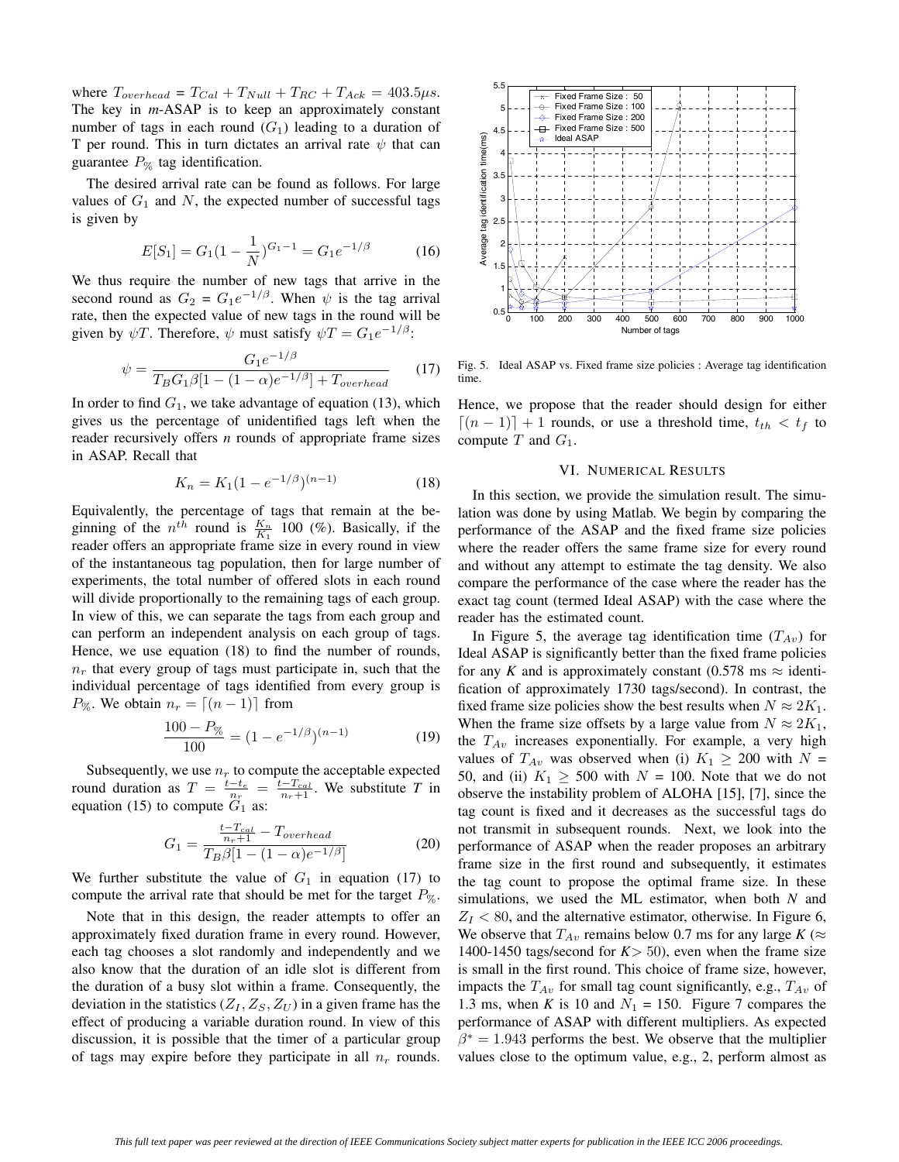where  $T_{overhead} = T_{Cal} + T_{Null} + T_{RC} + T_{Ack} = 403.5 \mu s.$ The key in *m*-ASAP is to keep an approximately constant number of tags in each round  $(G_1)$  leading to a duration of T per round. This in turn dictates an arrival rate  $\psi$  that can guarantee  $P_{\%}$  tag identification.

The desired arrival rate can be found as follows. For large values of  $G_1$  and N, the expected number of successful tags is given by

$$
E[S_1] = G_1 (1 - \frac{1}{N})^{G_1 - 1} = G_1 e^{-1/\beta} \tag{16}
$$

We thus require the number of new tags that arrive in the second round as  $G_2 = G_1 e^{-1/\beta}$ . When  $\psi$  is the tag arrival rate, then the expected value of new tags in the round will be given by  $\psi T$ . Therefore,  $\psi$  must satisfy  $\psi T = G_1 e^{-1/\beta}$ .

$$
\psi = \frac{G_1 e^{-1/\beta}}{T_B G_1 \beta [1 - (1 - \alpha)e^{-1/\beta}] + T_{overhead}}
$$
(17)

In order to find  $G_1$ , we take advantage of equation (13), which gives us the percentage of unidentified tags left when the reader recursively offers *n* rounds of appropriate frame sizes in ASAP. Recall that

$$
K_n = K_1 (1 - e^{-1/\beta})^{(n-1)}
$$
 (18)

Equivalently, the percentage of tags that remain at the beginning of the  $n^{th}$  round is  $\frac{K_n}{K_1}$  100 (%). Basically, if the reader offers an appropriate frame size in every round in view of the instantaneous tag population, then for large number of experiments, the total number of offered slots in each round will divide proportionally to the remaining tags of each group. In view of this, we can separate the tags from each group and can perform an independent analysis on each group of tags. Hence, we use equation (18) to find the number of rounds,  $n_r$  that every group of tags must participate in, such that the individual percentage of tags identified from every group is  $P_{\%}$ . We obtain  $n_r = \lfloor (n-1) \rfloor$  from

$$
\frac{100 - P_{\%}}{100} = (1 - e^{-1/\beta})^{(n-1)}
$$
(19)

Subsequently, we use  $n_r$  to compute the acceptable expected round duration as  $T = \frac{t - t_e}{n_r} = \frac{t - T_{cal}}{n_r + 1}$ . We substitute *T* in equation (15) to compute  $\overline{G}$  as: equation (15) to compute  $G_1$  as:

$$
G_1 = \frac{\frac{t - T_{cal}}{n_r + 1} - T_{overhead}}{T_B \beta [1 - (1 - \alpha)e^{-1/\beta}]} \tag{20}
$$

We further substitute the value of  $G_1$  in equation (17) to compute the arrival rate that should be met for the target  $P_{\%}$ .

Note that in this design, the reader attempts to offer an approximately fixed duration frame in every round. However, each tag chooses a slot randomly and independently and we also know that the duration of an idle slot is different from the duration of a busy slot within a frame. Consequently, the deviation in the statistics  $(Z_I, Z_S, Z_U)$  in a given frame has the effect of producing a variable duration round. In view of this discussion, it is possible that the timer of a particular group of tags may expire before they participate in all  $n_r$  rounds.



Fig. 5. Ideal ASAP vs. Fixed frame size policies : Average tag identification time.

Hence, we propose that the reader should design for either  $[(n-1)] + 1$  rounds, or use a threshold time,  $t_{th} < t_f$  to compute  $T$  and  $G_1$ .

#### VI. NUMERICAL RESULTS

In this section, we provide the simulation result. The simulation was done by using Matlab. We begin by comparing the performance of the ASAP and the fixed frame size policies where the reader offers the same frame size for every round and without any attempt to estimate the tag density. We also compare the performance of the case where the reader has the exact tag count (termed Ideal ASAP) with the case where the reader has the estimated count.

In Figure 5, the average tag identification time  $(T_{Av})$  for Ideal ASAP is significantly better than the fixed frame policies for any *K* and is approximately constant (0.578 ms  $\approx$  identification of approximately 1730 tags/second). In contrast, the fixed frame size policies show the best results when  $N \approx 2K_1$ . When the frame size offsets by a large value from  $N \approx 2K_1$ , the  $T_{Av}$  increases exponentially. For example, a very high values of  $T_{Av}$  was observed when (i)  $K_1 \geq 200$  with  $N =$ 50, and (ii)  $K_1 \geq 500$  with  $N = 100$ . Note that we do not observe the instability problem of ALOHA [15], [7], since the tag count is fixed and it decreases as the successful tags do not transmit in subsequent rounds. Next, we look into the performance of ASAP when the reader proposes an arbitrary frame size in the first round and subsequently, it estimates the tag count to propose the optimal frame size. In these simulations, we used the ML estimator, when both *N* and  $Z_I$  < 80, and the alternative estimator, otherwise. In Figure 6, We observe that  $T_{Av}$  remains below 0.7 ms for any large  $K \approx$ 1400-1450 tags/second for  $K > 50$ ), even when the frame size is small in the first round. This choice of frame size, however, impacts the  $T_{Av}$  for small tag count significantly, e.g.,  $T_{Av}$  of 1.3 ms, when *K* is 10 and  $N_1 = 150$ . Figure 7 compares the performance of ASAP with different multipliers. As expected  $\beta^* = 1.943$  performs the best. We observe that the multiplier values close to the optimum value, e.g., 2, perform almost as